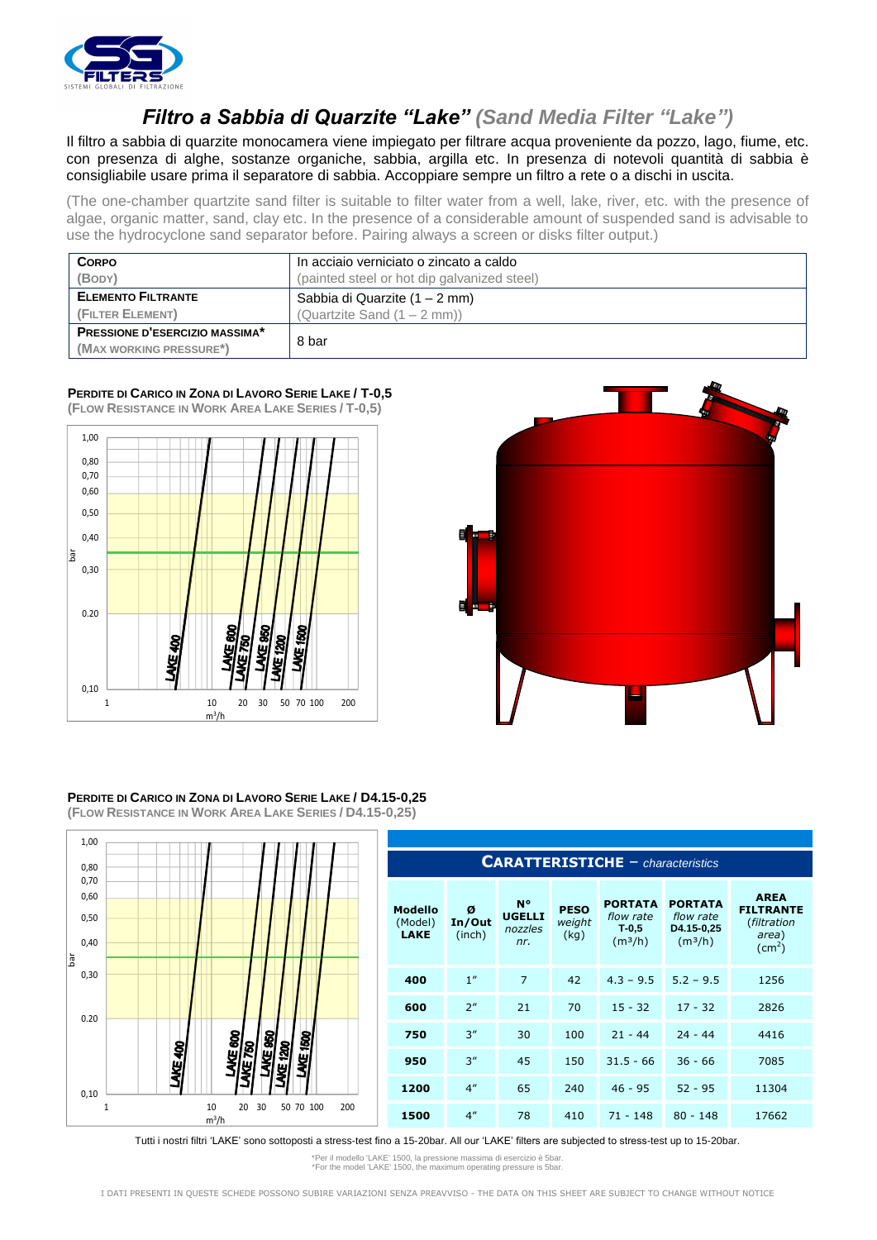

## *Filtro a Sabbia di Quarzite "Lake" (Sand Media Filter "Lake")*

Il filtro a sabbia di quarzite monocamera viene impiegato per filtrare acqua proveniente da pozzo, lago, fiume, etc. con presenza di alghe, sostanze organiche, sabbia, argilla etc. In presenza di notevoli quantità di sabbia è consigliabile usare prima il separatore di sabbia. Accoppiare sempre un filtro a rete o a dischi in uscita.

(The one-chamber quartzite sand filter is suitable to filter water from a well, lake, river, etc. with the presence of algae, organic matter, sand, clay etc. In the presence of a considerable amount of suspended sand is advisable to use the hydrocyclone sand separator before. Pairing always a screen or disks filter output.)

| <b>CORPO</b>                          | In acciaio verniciato o zincato a caldo     |  |  |  |
|---------------------------------------|---------------------------------------------|--|--|--|
| (BODY)                                | (painted steel or hot dip galvanized steel) |  |  |  |
| <b>ELEMENTO FILTRANTE</b>             | Sabbia di Quarzite (1 – 2 mm)               |  |  |  |
| (FILTER ELEMENT)                      | (Quartzite Sand $(1 – 2 mm)$ )              |  |  |  |
| <b>PRESSIONE D'ESERCIZIO MASSIMA*</b> | 8 bar                                       |  |  |  |
| (MAX WORKING PRESSURE*)               |                                             |  |  |  |

## **PERDITE DI CARICO IN ZONA DI LAVORO SERIE LAKE / T-0,5 (FLOW RESISTANCE IN WORK AREA LAKE SERIES / T-0,5)**





## **PERDITE DI CARICO IN ZONA DI LAVORO SERIE LAKE / D4.15-0,25 (FLOW RESISTANCE IN WORK AREA LAKE SERIES / D4.15-0,25)**



## **CARATTERISTICHE** – *characteristics* **Modello** (Model) **LAKE Ø In/Out** (inch) **N° UGELLI** *nozzles nr.* **PESO**  *weight* (kg) **PORTATA PORTATA**  *flow rate* **T-0,5**  $(m<sup>3</sup>/h)$ *flow rate* **D4.15-0,25**  $(m<sup>3</sup>/h)$ **AREA FILTRANTE** (*filtration area*)  $\text{(cm}^2\text{)}$ **400** 1" 7 42 4.3 – 9.5 5.2 – 9.5 1256 **600** 2" 21 70 15 - 32 17 - 32 2826 **750** 3" 30 100 21 - 44 24 - 44 4416 **950** 3" 45 150 31.5 - 66 36 - 66 7085 **1200** 4" 65 240 46 - 95 52 - 95 11304 **1500** 4" 78 410 71 - 148 80 - 148 17662

Tutti i nostri filtri "LAKE" sono sottoposti a stress-test fino a 15-20bar. All our "LAKE" filters are subjected to stress-test up to 15-20bar.

\*Per il modello 'LAKE' 1500, la pressione massima di esercizio è 5bar. \*For the model 'LAKE' 1500, the maximum operating pressure is 5bar.